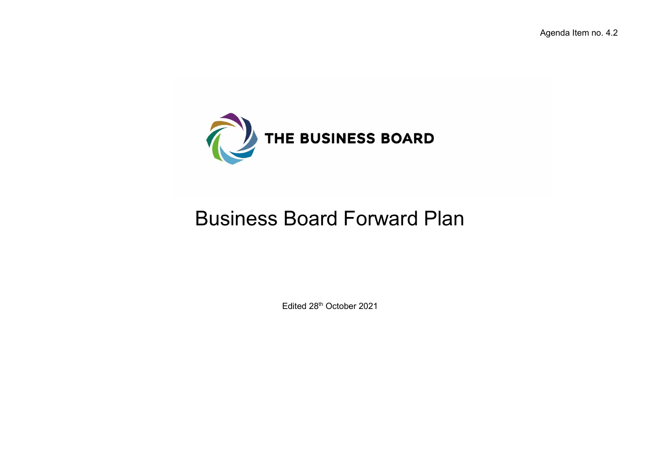

## Business Board Forward Plan

Edited 28th October 2021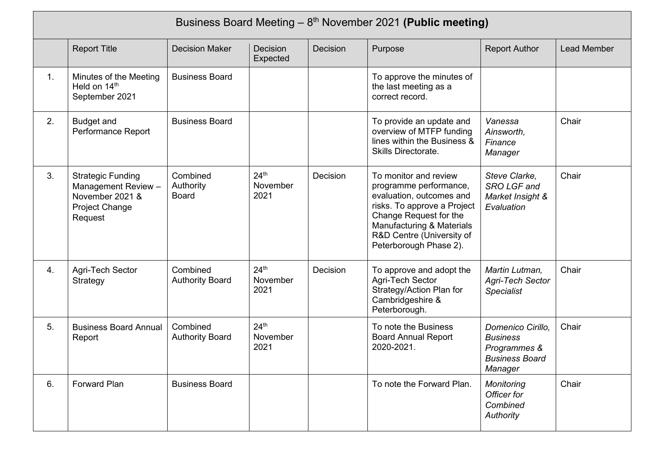|                | Business Board Meeting $-8$ <sup>th</sup> November 2021 (Public meeting)                        |                                       |                                      |          |                                                                                                                                                                                                                          |                                                                                          |             |
|----------------|-------------------------------------------------------------------------------------------------|---------------------------------------|--------------------------------------|----------|--------------------------------------------------------------------------------------------------------------------------------------------------------------------------------------------------------------------------|------------------------------------------------------------------------------------------|-------------|
|                | <b>Report Title</b>                                                                             | <b>Decision Maker</b>                 | Decision<br>Expected                 | Decision | Purpose                                                                                                                                                                                                                  | <b>Report Author</b>                                                                     | Lead Member |
| 1.             | Minutes of the Meeting<br>Held on 14th<br>September 2021                                        | <b>Business Board</b>                 |                                      |          | To approve the minutes of<br>the last meeting as a<br>correct record.                                                                                                                                                    |                                                                                          |             |
| 2.             | <b>Budget and</b><br>Performance Report                                                         | <b>Business Board</b>                 |                                      |          | To provide an update and<br>overview of MTFP funding<br>lines within the Business &<br>Skills Directorate.                                                                                                               | Vanessa<br>Ainsworth,<br>Finance<br>Manager                                              | Chair       |
| 3 <sub>1</sub> | <b>Strategic Funding</b><br>Management Review -<br>November 2021 &<br>Project Change<br>Request | Combined<br>Authority<br><b>Board</b> | 24 <sup>th</sup><br>November<br>2021 | Decision | To monitor and review<br>programme performance,<br>evaluation, outcomes and<br>risks. To approve a Project<br>Change Request for the<br>Manufacturing & Materials<br>R&D Centre (University of<br>Peterborough Phase 2). | Steve Clarke,<br>SRO LGF and<br>Market Insight &<br>Evaluation                           | Chair       |
| 4.             | Agri-Tech Sector<br>Strategy                                                                    | Combined<br><b>Authority Board</b>    | 24 <sup>th</sup><br>November<br>2021 | Decision | To approve and adopt the<br>Agri-Tech Sector<br>Strategy/Action Plan for<br>Cambridgeshire &<br>Peterborough.                                                                                                            | Martin Lutman,<br><b>Agri-Tech Sector</b><br><b>Specialist</b>                           | Chair       |
| 5.             | <b>Business Board Annual</b><br>Report                                                          | Combined<br><b>Authority Board</b>    | 24 <sup>th</sup><br>November<br>2021 |          | To note the Business<br><b>Board Annual Report</b><br>2020-2021.                                                                                                                                                         | Domenico Cirillo,<br><b>Business</b><br>Programmes &<br><b>Business Board</b><br>Manager | Chair       |
| 6.             | <b>Forward Plan</b>                                                                             | <b>Business Board</b>                 |                                      |          | To note the Forward Plan.                                                                                                                                                                                                | Monitoring<br>Officer for<br>Combined<br>Authority                                       | Chair       |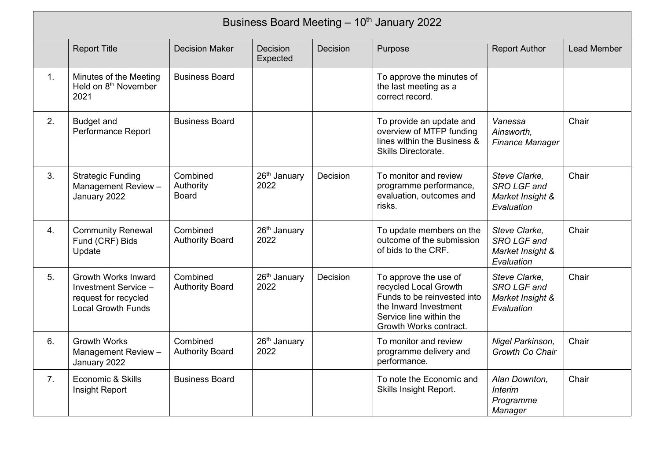|    | Business Board Meeting - 10th January 2022                                                              |                                       |                                  |                 |                                                                                                                                                             |                                                                |                    |
|----|---------------------------------------------------------------------------------------------------------|---------------------------------------|----------------------------------|-----------------|-------------------------------------------------------------------------------------------------------------------------------------------------------------|----------------------------------------------------------------|--------------------|
|    | <b>Report Title</b>                                                                                     | <b>Decision Maker</b>                 | <b>Decision</b><br>Expected      | <b>Decision</b> | Purpose                                                                                                                                                     | <b>Report Author</b>                                           | <b>Lead Member</b> |
| 1. | Minutes of the Meeting<br>Held on 8 <sup>th</sup> November<br>2021                                      | <b>Business Board</b>                 |                                  |                 | To approve the minutes of<br>the last meeting as a<br>correct record.                                                                                       |                                                                |                    |
| 2. | <b>Budget and</b><br>Performance Report                                                                 | <b>Business Board</b>                 |                                  |                 | To provide an update and<br>overview of MTFP funding<br>lines within the Business &<br>Skills Directorate.                                                  | Vanessa<br>Ainsworth.<br><b>Finance Manager</b>                | Chair              |
| 3. | <b>Strategic Funding</b><br>Management Review -<br>January 2022                                         | Combined<br>Authority<br><b>Board</b> | 26 <sup>th</sup> January<br>2022 | Decision        | To monitor and review<br>programme performance,<br>evaluation, outcomes and<br>risks.                                                                       | Steve Clarke,<br>SRO LGF and<br>Market Insight &<br>Evaluation | Chair              |
| 4. | <b>Community Renewal</b><br>Fund (CRF) Bids<br>Update                                                   | Combined<br><b>Authority Board</b>    | 26 <sup>th</sup> January<br>2022 |                 | To update members on the<br>outcome of the submission<br>of bids to the CRF.                                                                                | Steve Clarke,<br>SRO LGF and<br>Market Insight &<br>Evaluation | Chair              |
| 5. | <b>Growth Works Inward</b><br>Investment Service -<br>request for recycled<br><b>Local Growth Funds</b> | Combined<br><b>Authority Board</b>    | 26 <sup>th</sup> January<br>2022 | Decision        | To approve the use of<br>recycled Local Growth<br>Funds to be reinvested into<br>the Inward Investment<br>Service line within the<br>Growth Works contract. | Steve Clarke,<br>SRO LGF and<br>Market Insight &<br>Evaluation | Chair              |
| 6. | <b>Growth Works</b><br>Management Review -<br>January 2022                                              | Combined<br><b>Authority Board</b>    | 26 <sup>th</sup> January<br>2022 |                 | To monitor and review<br>programme delivery and<br>performance.                                                                                             | Nigel Parkinson,<br>Growth Co Chair                            | Chair              |
| 7. | Economic & Skills<br>Insight Report                                                                     | <b>Business Board</b>                 |                                  |                 | To note the Economic and<br>Skills Insight Report.                                                                                                          | Alan Downton,<br><b>Interim</b><br>Programme<br>Manager        | Chair              |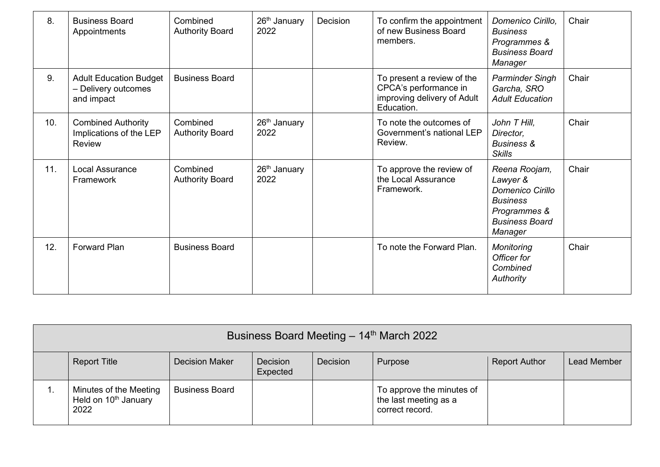| 8.  | <b>Business Board</b><br>Appointments                                 | Combined<br><b>Authority Board</b> | 26 <sup>th</sup> January<br>2022 | Decision | To confirm the appointment<br>of new Business Board<br>members.                                  | Domenico Cirillo,<br><b>Business</b><br>Programmes &<br><b>Business Board</b><br>Manager                                    | Chair |
|-----|-----------------------------------------------------------------------|------------------------------------|----------------------------------|----------|--------------------------------------------------------------------------------------------------|-----------------------------------------------------------------------------------------------------------------------------|-------|
| 9.  | <b>Adult Education Budget</b><br>- Delivery outcomes<br>and impact    | <b>Business Board</b>              |                                  |          | To present a review of the<br>CPCA's performance in<br>improving delivery of Adult<br>Education. | <b>Parminder Singh</b><br>Garcha, SRO<br><b>Adult Education</b>                                                             | Chair |
| 10. | <b>Combined Authority</b><br>Implications of the LEP<br><b>Review</b> | Combined<br><b>Authority Board</b> | 26 <sup>th</sup> January<br>2022 |          | To note the outcomes of<br>Government's national LEP<br>Review.                                  | John T Hill,<br>Director,<br><b>Business &amp;</b><br><b>Skills</b>                                                         | Chair |
| 11. | <b>Local Assurance</b><br>Framework                                   | Combined<br><b>Authority Board</b> | 26 <sup>th</sup> January<br>2022 |          | To approve the review of<br>the Local Assurance<br>Framework.                                    | Reena Roojam,<br>Lawyer &<br><b>Domenico Cirillo</b><br><b>Business</b><br>Programmes &<br><b>Business Board</b><br>Manager | Chair |
| 12. | <b>Forward Plan</b>                                                   | <b>Business Board</b>              |                                  |          | To note the Forward Plan.                                                                        | Monitoring<br>Officer for<br>Combined<br>Authority                                                                          | Chair |

| Business Board Meeting - 14th March 2022                           |                       |                      |                 |                                                                       |                      |             |
|--------------------------------------------------------------------|-----------------------|----------------------|-----------------|-----------------------------------------------------------------------|----------------------|-------------|
| <b>Report Title</b>                                                | <b>Decision Maker</b> | Decision<br>Expected | <b>Decision</b> | Purpose                                                               | <b>Report Author</b> | Lead Member |
| Minutes of the Meeting<br>Held on 10 <sup>th</sup> January<br>2022 | <b>Business Board</b> |                      |                 | To approve the minutes of<br>the last meeting as a<br>correct record. |                      |             |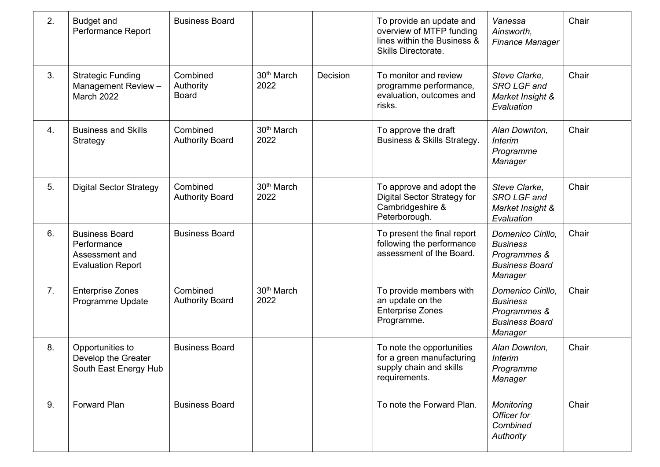| 2. | <b>Budget and</b><br>Performance Report                                            | <b>Business Board</b>                 |                                |          | To provide an update and<br>overview of MTFP funding<br>lines within the Business &<br>Skills Directorate. | Vanessa<br>Ainsworth,<br><b>Finance Manager</b>                                          | Chair |
|----|------------------------------------------------------------------------------------|---------------------------------------|--------------------------------|----------|------------------------------------------------------------------------------------------------------------|------------------------------------------------------------------------------------------|-------|
| 3. | <b>Strategic Funding</b><br>Management Review -<br><b>March 2022</b>               | Combined<br>Authority<br><b>Board</b> | 30 <sup>th</sup> March<br>2022 | Decision | To monitor and review<br>programme performance,<br>evaluation, outcomes and<br>risks.                      | Steve Clarke,<br>SRO LGF and<br>Market Insight &<br>Evaluation                           | Chair |
| 4. | <b>Business and Skills</b><br>Strategy                                             | Combined<br><b>Authority Board</b>    | 30 <sup>th</sup> March<br>2022 |          | To approve the draft<br>Business & Skills Strategy.                                                        | Alan Downton,<br><b>Interim</b><br>Programme<br>Manager                                  | Chair |
| 5. | <b>Digital Sector Strategy</b>                                                     | Combined<br><b>Authority Board</b>    | 30 <sup>th</sup> March<br>2022 |          | To approve and adopt the<br><b>Digital Sector Strategy for</b><br>Cambridgeshire &<br>Peterborough.        | Steve Clarke,<br>SRO LGF and<br>Market Insight &<br>Evaluation                           | Chair |
| 6. | <b>Business Board</b><br>Performance<br>Assessment and<br><b>Evaluation Report</b> | <b>Business Board</b>                 |                                |          | To present the final report<br>following the performance<br>assessment of the Board.                       | Domenico Cirillo,<br><b>Business</b><br>Programmes &<br><b>Business Board</b><br>Manager | Chair |
| 7. | <b>Enterprise Zones</b><br>Programme Update                                        | Combined<br><b>Authority Board</b>    | 30 <sup>th</sup> March<br>2022 |          | To provide members with<br>an update on the<br><b>Enterprise Zones</b><br>Programme.                       | Domenico Cirillo,<br><b>Business</b><br>Programmes &<br><b>Business Board</b><br>Manager | Chair |
| 8. | Opportunities to<br>Develop the Greater<br>South East Energy Hub                   | <b>Business Board</b>                 |                                |          | To note the opportunities<br>for a green manufacturing<br>supply chain and skills<br>requirements.         | Alan Downton,<br><b>Interim</b><br>Programme<br>Manager                                  | Chair |
| 9. | <b>Forward Plan</b>                                                                | <b>Business Board</b>                 |                                |          | To note the Forward Plan.                                                                                  | Monitoring<br>Officer for<br>Combined<br>Authority                                       | Chair |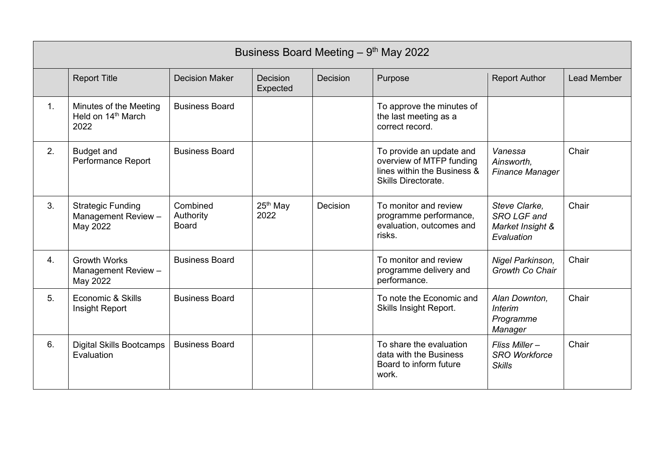|    | Business Board Meeting $-9th$ May 2022                           |                                       |                              |          |                                                                                                            |                                                                |                    |
|----|------------------------------------------------------------------|---------------------------------------|------------------------------|----------|------------------------------------------------------------------------------------------------------------|----------------------------------------------------------------|--------------------|
|    | <b>Report Title</b>                                              | <b>Decision Maker</b>                 | <b>Decision</b><br>Expected  | Decision | Purpose                                                                                                    | <b>Report Author</b>                                           | <b>Lead Member</b> |
| 1. | Minutes of the Meeting<br>Held on 14 <sup>th</sup> March<br>2022 | <b>Business Board</b>                 |                              |          | To approve the minutes of<br>the last meeting as a<br>correct record.                                      |                                                                |                    |
| 2. | <b>Budget and</b><br>Performance Report                          | <b>Business Board</b>                 |                              |          | To provide an update and<br>overview of MTFP funding<br>lines within the Business &<br>Skills Directorate. | Vanessa<br>Ainsworth,<br><b>Finance Manager</b>                | Chair              |
| 3. | <b>Strategic Funding</b><br>Management Review -<br>May 2022      | Combined<br>Authority<br><b>Board</b> | 25 <sup>th</sup> May<br>2022 | Decision | To monitor and review<br>programme performance,<br>evaluation, outcomes and<br>risks.                      | Steve Clarke,<br>SRO LGF and<br>Market Insight &<br>Evaluation | Chair              |
| 4. | <b>Growth Works</b><br>Management Review -<br>May 2022           | <b>Business Board</b>                 |                              |          | To monitor and review<br>programme delivery and<br>performance.                                            | Nigel Parkinson,<br>Growth Co Chair                            | Chair              |
| 5. | Economic & Skills<br>Insight Report                              | <b>Business Board</b>                 |                              |          | To note the Economic and<br>Skills Insight Report.                                                         | Alan Downton,<br><b>Interim</b><br>Programme<br>Manager        | Chair              |
| 6. | <b>Digital Skills Bootcamps</b><br>Evaluation                    | <b>Business Board</b>                 |                              |          | To share the evaluation<br>data with the Business<br>Board to inform future<br>work.                       | Fliss Miller-<br><b>SRO Workforce</b><br><b>Skills</b>         | Chair              |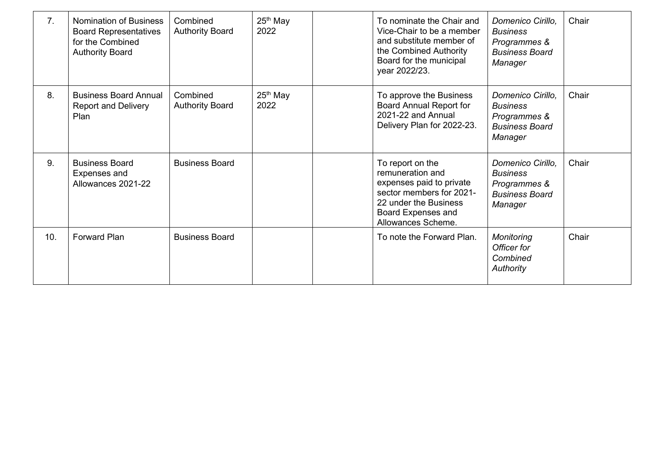| 7 <sub>1</sub> | <b>Nomination of Business</b><br><b>Board Representatives</b><br>for the Combined<br><b>Authority Board</b> | Combined<br><b>Authority Board</b> | $25th$ May<br>2022 | To nominate the Chair and<br>Vice-Chair to be a member<br>and substitute member of<br>the Combined Authority<br>Board for the municipal<br>year 2022/23.                 | Domenico Cirillo.<br><b>Business</b><br>Programmes &<br><b>Business Board</b><br>Manager | Chair |
|----------------|-------------------------------------------------------------------------------------------------------------|------------------------------------|--------------------|--------------------------------------------------------------------------------------------------------------------------------------------------------------------------|------------------------------------------------------------------------------------------|-------|
| 8.             | <b>Business Board Annual</b><br><b>Report and Delivery</b><br>Plan                                          | Combined<br><b>Authority Board</b> | $25th$ May<br>2022 | To approve the Business<br><b>Board Annual Report for</b><br>2021-22 and Annual<br>Delivery Plan for 2022-23.                                                            | Domenico Cirillo.<br><b>Business</b><br>Programmes &<br><b>Business Board</b><br>Manager | Chair |
| 9.             | <b>Business Board</b><br>Expenses and<br>Allowances 2021-22                                                 | <b>Business Board</b>              |                    | To report on the<br>remuneration and<br>expenses paid to private<br>sector members for 2021-<br>22 under the Business<br><b>Board Expenses and</b><br>Allowances Scheme. | Domenico Cirillo,<br><b>Business</b><br>Programmes &<br><b>Business Board</b><br>Manager | Chair |
| 10.            | <b>Forward Plan</b>                                                                                         | <b>Business Board</b>              |                    | To note the Forward Plan.                                                                                                                                                | Monitoring<br>Officer for<br>Combined<br>Authority                                       | Chair |